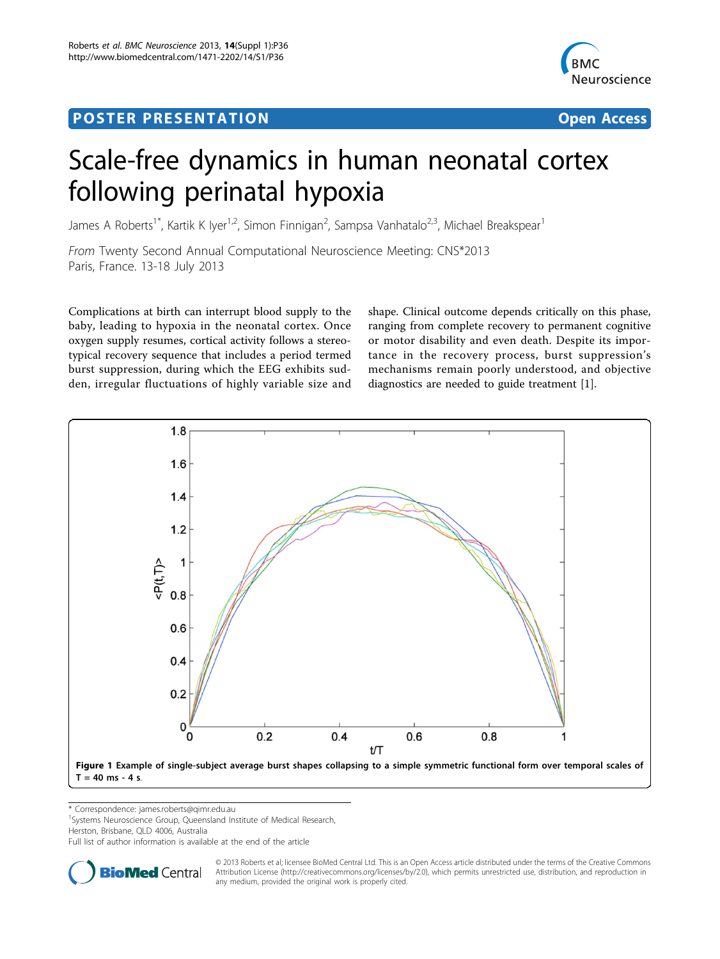## <span id="page-0-0"></span>Post Experimental Police in the St English Police in the St English Police in the St English Police in the St<br>Police in the St English Police in the St English Police in the St English Police in the St English Police in



# Scale-free dynamics in human neonatal cortex following perinatal hypoxia

James A Roberts<sup>1\*</sup>, Kartik K Iyer<sup>1,2</sup>, Simon Finnigan<sup>2</sup>, Sampsa Vanhatalo<sup>2,3</sup>, Michael Breakspear<sup>1</sup>

From Twenty Second Annual Computational Neuroscience Meeting: CNS\*2013 Paris, France. 13-18 July 2013

Complications at birth can interrupt blood supply to the baby, leading to hypoxia in the neonatal cortex. Once oxygen supply resumes, cortical activity follows a stereotypical recovery sequence that includes a period termed burst suppression, during which the EEG exhibits sudden, irregular fluctuations of highly variable size and shape. Clinical outcome depends critically on this phase, ranging from complete recovery to permanent cognitive or motor disability and even death. Despite its importance in the recovery process, burst suppression's mechanisms remain poorly understood, and objective diagnostics are needed to guide treatment [[1](#page-1-0)].



\* Correspondence: [james.roberts@qimr.edu.au](mailto:james.roberts@qimr.edu.au)

<sup>1</sup>Systems Neuroscience Group, Queensland Institute of Medical Research,

Herston, Brisbane, QLD 4006, Australia

Full list of author information is available at the end of the article



© 2013 Roberts et al; licensee BioMed Central Ltd. This is an Open Access article distributed under the terms of the Creative Commons Attribution License [\(http://creativecommons.org/licenses/by/2.0](http://creativecommons.org/licenses/by/2.0)), which permits unrestricted use, distribution, and reproduction in any medium, provided the original work is properly cited.